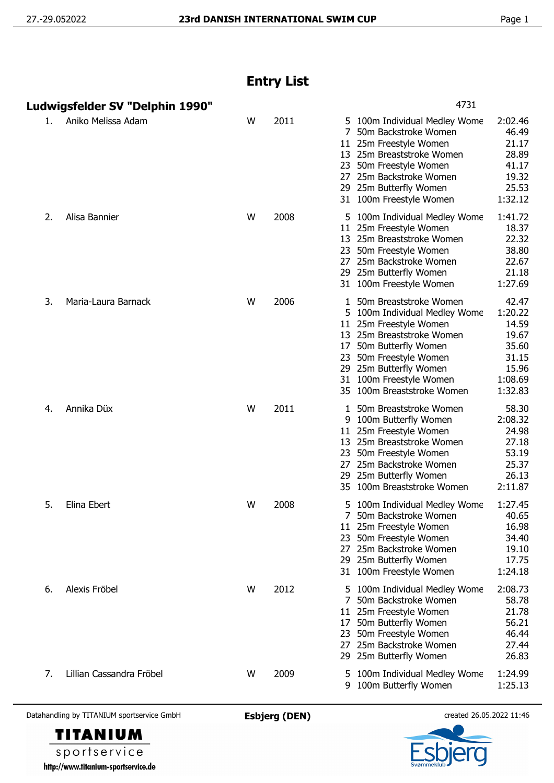## **Entry List**

|    | Ludwigsfelder SV "Delphin 1990" |   |      | 4731                                                                                                                                                                                                                                                                                                                                                     |
|----|---------------------------------|---|------|----------------------------------------------------------------------------------------------------------------------------------------------------------------------------------------------------------------------------------------------------------------------------------------------------------------------------------------------------------|
| 1. | Aniko Melissa Adam              | W | 2011 | 2:02.46<br>100m Individual Medley Wome<br>5<br>7<br>46.49<br>50m Backstroke Women<br>25m Freestyle Women<br>21.17<br>11<br>28.89<br>25m Breaststroke Women<br>13.<br>50m Freestyle Women<br>41.17<br>23<br>25m Backstroke Women<br>19.32<br>27<br>25.53<br>29 25m Butterfly Women<br>1:32.12<br>31 100m Freestyle Women                                  |
| 2. | Alisa Bannier                   | W | 2008 | 1:41.72<br>5 100m Individual Medley Wome<br>18.37<br>11 25m Freestyle Women<br>22.32<br>13 25m Breaststroke Women<br>38.80<br>50m Freestyle Women<br>23<br>22.67<br>25m Backstroke Women<br>27<br>21.18<br>29 25m Butterfly Women<br>1:27.69<br>31 100m Freestyle Women                                                                                  |
| 3. | Maria-Laura Barnack             | W | 2006 | 42.47<br>50m Breaststroke Women<br>1:20.22<br>5 100m Individual Medley Wome<br>14.59<br>11<br>25m Freestyle Women<br>19.67<br>13 25m Breaststroke Women<br>35.60<br>50m Butterfly Women<br>17<br>31.15<br>50m Freestyle Women<br>23<br>15.96<br>29 25m Butterfly Women<br>1:08.69<br>100m Freestyle Women<br>31<br>1:32.83<br>35 100m Breaststroke Women |
| 4. | Annika Düx                      | W | 2011 | 58.30<br>50m Breaststroke Women<br>2:08.32<br>9<br>100m Butterfly Women<br>25m Freestyle Women<br>24.98<br>11<br>27.18<br>25m Breaststroke Women<br>13<br>53.19<br>23<br>50m Freestyle Women<br>25.37<br>27<br>25m Backstroke Women<br>25m Butterfly Women<br>26.13<br>29<br>2:11.87<br>100m Breaststroke Women<br>35.                                   |
| 5. | Elina Ebert                     | W | 2008 | 1:27.45<br>100m Individual Medley Wome<br>40.65<br>50m Backstroke Women<br>11 25m Freestyle Women<br>16.98<br>50m Freestyle Women<br>34.40<br>23.<br>25m Backstroke Women<br>19.10<br>27<br>17.75<br>29 25m Butterfly Women<br>1:24.18<br>31 100m Freestyle Women                                                                                        |
| 6. | Alexis Fröbel                   | W | 2012 | 2:08.73<br>100m Individual Medley Wome<br>5.<br>58.78<br>50m Backstroke Women<br>7<br>21.78<br>11 25m Freestyle Women<br>56.21<br>50m Butterfly Women<br>17<br>46.44<br>50m Freestyle Women<br>23<br>27.44<br>25m Backstroke Women<br>27<br>26.83<br>29 25m Butterfly Women                                                                              |
| 7. | Lillian Cassandra Fröbel        | W | 2009 | 1:24.99<br>100m Individual Medley Wome<br>1:25.13<br>100m Butterfly Women<br>9                                                                                                                                                                                                                                                                           |

Datahandling by TITANIUM sportservice GmbH **Esbjerg (DEN)** created 26.05.2022 11:46

**TITANIUM** sportservice http://www.titanium-sportservice.de